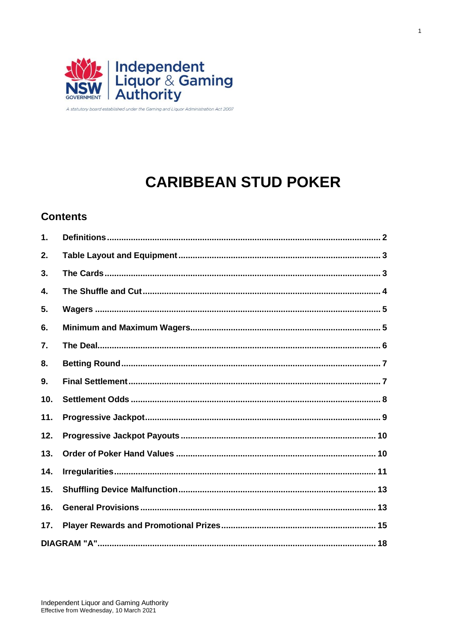

A statutory board established under the Gaming and Liquor Administration Act 2007

# **CARIBBEAN STUD POKER**

# **Contents**

| 1.  |  |
|-----|--|
| 2.  |  |
| 3.  |  |
| 4.  |  |
| 5.  |  |
| 6.  |  |
| 7.  |  |
| 8.  |  |
| 9.  |  |
| 10. |  |
| 11. |  |
| 12. |  |
| 13. |  |
| 14. |  |
| 15. |  |
| 16. |  |
| 17. |  |
|     |  |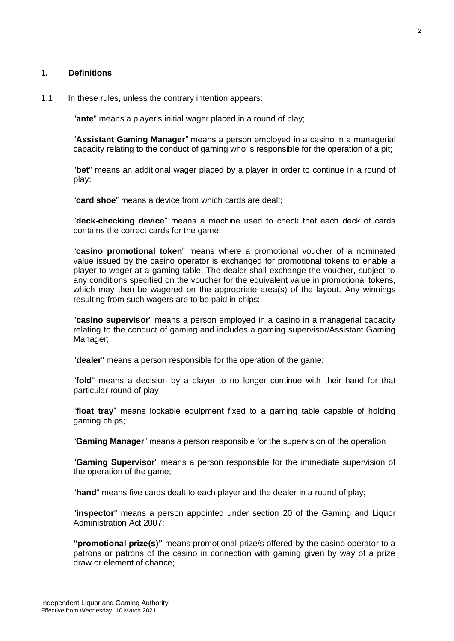## <span id="page-1-0"></span>**1. Definitions**

#### 1.1 In these rules, unless the contrary intention appears:

"**ante**" means a player's initial wager placed in a round of play;

"**Assistant Gaming Manager**" means a person employed in a casino in a managerial capacity relating to the conduct of gaming who is responsible for the operation of a pit;

"**bet**" means an additional wager placed by a player in order to continue in a round of play;

"**card shoe**" means a device from which cards are dealt;

"**deck-checking device**" means a machine used to check that each deck of cards contains the correct cards for the game;

"**casino promotional token**" means where a promotional voucher of a nominated value issued by the casino operator is exchanged for promotional tokens to enable a player to wager at a gaming table. The dealer shall exchange the voucher, subject to any conditions specified on the voucher for the equivalent value in promotional tokens, which may then be wagered on the appropriate area(s) of the layout. Any winnings resulting from such wagers are to be paid in chips;

"**casino supervisor**" means a person employed in a casino in a managerial capacity relating to the conduct of gaming and includes a gaming supervisor/Assistant Gaming Manager;

"**dealer**" means a person responsible for the operation of the game;

"**fold**" means a decision by a player to no longer continue with their hand for that particular round of play

"**float tray**" means lockable equipment fixed to a gaming table capable of holding gaming chips;

"**Gaming Manager**" means a person responsible for the supervision of the operation

"**Gaming Supervisor**" means a person responsible for the immediate supervision of the operation of the game;

"**hand**" means five cards dealt to each player and the dealer in a round of play;

"**inspector**" means a person appointed under section 20 of the Gaming and Liquor Administration Act 2007;

**"promotional prize(s)"** means promotional prize/s offered by the casino operator to a patrons or patrons of the casino in connection with gaming given by way of a prize draw or element of chance;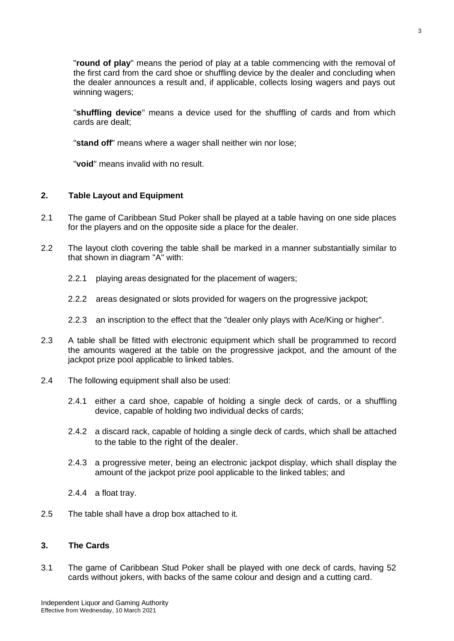"**round of play**" means the period of play at a table commencing with the removal of the first card from the card shoe or shuffling device by the dealer and concluding when the dealer announces a result and, if applicable, collects losing wagers and pays out winning wagers;

"**shuffling device**" means a device used for the shuffling of cards and from which cards are dealt;

"**stand off**" means where a wager shall neither win nor lose;

"**void**" means invalid with no result.

## <span id="page-2-0"></span>**2. Table Layout and Equipment**

- 2.1 The game of Caribbean Stud Poker shall be played at a table having on one side places for the players and on the opposite side a place for the dealer.
- 2.2 The layout cloth covering the table shall be marked in a manner substantially similar to that shown in diagram "A" with:
	- 2.2.1 playing areas designated for the placement of wagers;
	- 2.2.2 areas designated or slots provided for wagers on the progressive jackpot;
	- 2.2.3 an inscription to the effect that the "dealer only plays with Ace/King or higher".
- 2.3 A table shall be fitted with electronic equipment which shall be programmed to record the amounts wagered at the table on the progressive jackpot, and the amount of the jackpot prize pool applicable to linked tables.
- 2.4 The following equipment shall also be used:
	- 2.4.1 either a card shoe, capable of holding a single deck of cards, or a shuffling device, capable of holding two individual decks of cards;
	- 2.4.2 a discard rack, capable of holding a single deck of cards, which shall be attached to the table to the right of the dealer.
	- 2.4.3 a progressive meter, being an electronic jackpot display, which shall display the amount of the jackpot prize pool applicable to the linked tables; and
	- 2.4.4 a float tray.
- 2.5 The table shall have a drop box attached to it.

## <span id="page-2-1"></span>**3. The Cards**

3.1 The game of Caribbean Stud Poker shall be played with one deck of cards, having 52 cards without jokers, with backs of the same colour and design and a cutting card.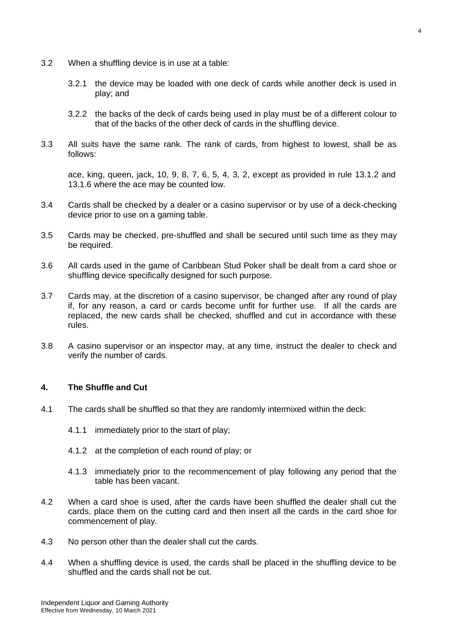- 3.2 When a shuffling device is in use at a table:
	- 3.2.1 the device may be loaded with one deck of cards while another deck is used in play; and
	- 3.2.2 the backs of the deck of cards being used in play must be of a different colour to that of the backs of the other deck of cards in the shuffling device.
- 3.3 All suits have the same rank. The rank of cards, from highest to lowest, shall be as follows:

ace, king, queen, jack, 10, 9, 8, 7, 6, 5, 4, 3, 2, except as provided in rule 13.1.2 and 13.1.6 where the ace may be counted low.

- 3.4 Cards shall be checked by a dealer or a casino supervisor or by use of a deck-checking device prior to use on a gaming table.
- 3.5 Cards may be checked, pre-shuffled and shall be secured until such time as they may be required.
- 3.6 All cards used in the game of Caribbean Stud Poker shall be dealt from a card shoe or shuffling device specifically designed for such purpose.
- 3.7 Cards may, at the discretion of a casino supervisor, be changed after any round of play if, for any reason, a card or cards become unfit for further use. If all the cards are replaced, the new cards shall be checked, shuffled and cut in accordance with these rules.
- 3.8 A casino supervisor or an inspector may, at any time, instruct the dealer to check and verify the number of cards.

## <span id="page-3-0"></span>**4. The Shuffle and Cut**

- 4.1 The cards shall be shuffled so that they are randomly intermixed within the deck:
	- 4.1.1 immediately prior to the start of play;
	- 4.1.2 at the completion of each round of play; or
	- 4.1.3 immediately prior to the recommencement of play following any period that the table has been vacant.
- 4.2 When a card shoe is used, after the cards have been shuffled the dealer shall cut the cards, place them on the cutting card and then insert all the cards in the card shoe for commencement of play.
- 4.3 No person other than the dealer shall cut the cards.
- 4.4 When a shuffling device is used, the cards shall be placed in the shuffling device to be shuffled and the cards shall not be cut.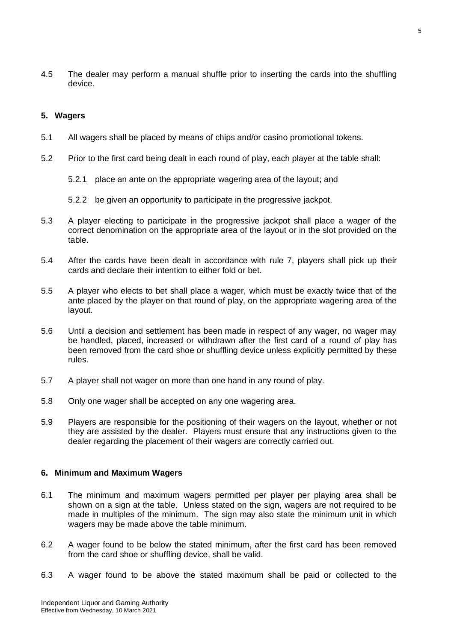4.5 The dealer may perform a manual shuffle prior to inserting the cards into the shuffling device.

## <span id="page-4-0"></span>**5. Wagers**

- 5.1 All wagers shall be placed by means of chips and/or casino promotional tokens.
- 5.2 Prior to the first card being dealt in each round of play, each player at the table shall:
	- 5.2.1 place an ante on the appropriate wagering area of the layout; and
	- 5.2.2 be given an opportunity to participate in the progressive jackpot.
- 5.3 A player electing to participate in the progressive jackpot shall place a wager of the correct denomination on the appropriate area of the layout or in the slot provided on the table.
- 5.4 After the cards have been dealt in accordance with rule 7, players shall pick up their cards and declare their intention to either fold or bet.
- 5.5 A player who elects to bet shall place a wager, which must be exactly twice that of the ante placed by the player on that round of play, on the appropriate wagering area of the layout.
- 5.6 Until a decision and settlement has been made in respect of any wager, no wager may be handled, placed, increased or withdrawn after the first card of a round of play has been removed from the card shoe or shuffling device unless explicitly permitted by these rules.
- 5.7 A player shall not wager on more than one hand in any round of play.
- 5.8 Only one wager shall be accepted on any one wagering area.
- 5.9 Players are responsible for the positioning of their wagers on the layout, whether or not they are assisted by the dealer. Players must ensure that any instructions given to the dealer regarding the placement of their wagers are correctly carried out.

#### <span id="page-4-1"></span>**6. Minimum and Maximum Wagers**

- 6.1 The minimum and maximum wagers permitted per player per playing area shall be shown on a sign at the table. Unless stated on the sign, wagers are not required to be made in multiples of the minimum. The sign may also state the minimum unit in which wagers may be made above the table minimum.
- 6.2 A wager found to be below the stated minimum, after the first card has been removed from the card shoe or shuffling device, shall be valid.
- 6.3 A wager found to be above the stated maximum shall be paid or collected to the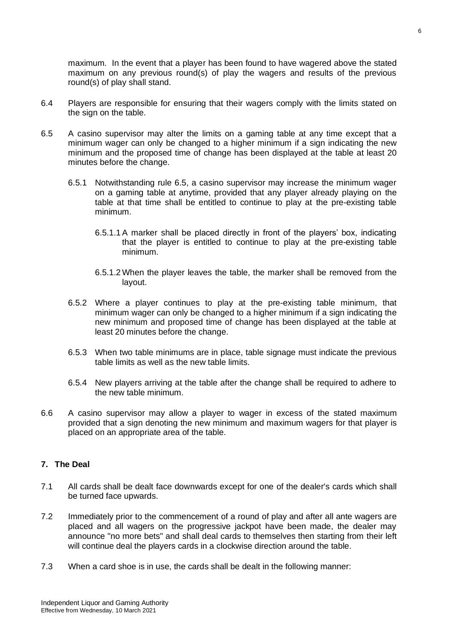maximum. In the event that a player has been found to have wagered above the stated maximum on any previous round(s) of play the wagers and results of the previous round(s) of play shall stand.

- 6.4 Players are responsible for ensuring that their wagers comply with the limits stated on the sign on the table.
- 6.5 A casino supervisor may alter the limits on a gaming table at any time except that a minimum wager can only be changed to a higher minimum if a sign indicating the new minimum and the proposed time of change has been displayed at the table at least 20 minutes before the change.
	- 6.5.1 Notwithstanding rule 6.5, a casino supervisor may increase the minimum wager on a gaming table at anytime, provided that any player already playing on the table at that time shall be entitled to continue to play at the pre-existing table minimum.
		- 6.5.1.1 A marker shall be placed directly in front of the players' box, indicating that the player is entitled to continue to play at the pre-existing table minimum.
		- 6.5.1.2 When the player leaves the table, the marker shall be removed from the layout.
	- 6.5.2 Where a player continues to play at the pre-existing table minimum, that minimum wager can only be changed to a higher minimum if a sign indicating the new minimum and proposed time of change has been displayed at the table at least 20 minutes before the change.
	- 6.5.3 When two table minimums are in place, table signage must indicate the previous table limits as well as the new table limits.
	- 6.5.4 New players arriving at the table after the change shall be required to adhere to the new table minimum.
- 6.6 A casino supervisor may allow a player to wager in excess of the stated maximum provided that a sign denoting the new minimum and maximum wagers for that player is placed on an appropriate area of the table.

## <span id="page-5-0"></span>**7. The Deal**

- 7.1 All cards shall be dealt face downwards except for one of the dealer's cards which shall be turned face upwards.
- 7.2 Immediately prior to the commencement of a round of play and after all ante wagers are placed and all wagers on the progressive jackpot have been made, the dealer may announce "no more bets" and shall deal cards to themselves then starting from their left will continue deal the players cards in a clockwise direction around the table.
- 7.3 When a card shoe is in use, the cards shall be dealt in the following manner: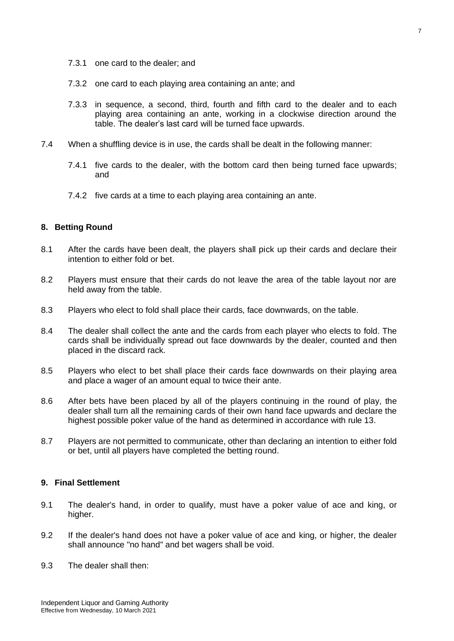- 7.3.1 one card to the dealer; and
- 7.3.2 one card to each playing area containing an ante; and
- 7.3.3 in sequence, a second, third, fourth and fifth card to the dealer and to each playing area containing an ante, working in a clockwise direction around the table. The dealer's last card will be turned face upwards.
- 7.4 When a shuffling device is in use, the cards shall be dealt in the following manner:
	- 7.4.1 five cards to the dealer, with the bottom card then being turned face upwards; and
	- 7.4.2 five cards at a time to each playing area containing an ante.

#### <span id="page-6-0"></span>**8. Betting Round**

- 8.1 After the cards have been dealt, the players shall pick up their cards and declare their intention to either fold or bet.
- 8.2 Players must ensure that their cards do not leave the area of the table layout nor are held away from the table.
- 8.3 Players who elect to fold shall place their cards, face downwards, on the table.
- 8.4 The dealer shall collect the ante and the cards from each player who elects to fold. The cards shall be individually spread out face downwards by the dealer, counted and then placed in the discard rack.
- 8.5 Players who elect to bet shall place their cards face downwards on their playing area and place a wager of an amount equal to twice their ante.
- 8.6 After bets have been placed by all of the players continuing in the round of play, the dealer shall turn all the remaining cards of their own hand face upwards and declare the highest possible poker value of the hand as determined in accordance with rule 13.
- 8.7 Players are not permitted to communicate, other than declaring an intention to either fold or bet, until all players have completed the betting round.

#### <span id="page-6-1"></span>**9. Final Settlement**

- 9.1 The dealer's hand, in order to qualify, must have a poker value of ace and king, or higher.
- 9.2 If the dealer's hand does not have a poker value of ace and king, or higher, the dealer shall announce "no hand" and bet wagers shall be void.
- 9.3 The dealer shall then: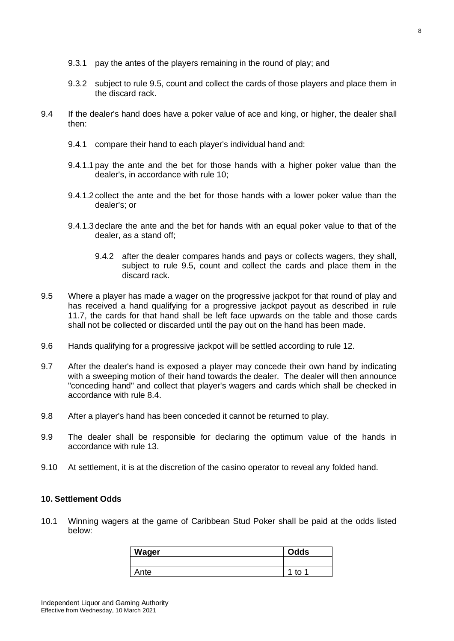- 9.3.1 pay the antes of the players remaining in the round of play; and
- 9.3.2 subject to rule 9.5, count and collect the cards of those players and place them in the discard rack.
- 9.4 If the dealer's hand does have a poker value of ace and king, or higher, the dealer shall then:
	- 9.4.1 compare their hand to each player's individual hand and:
	- 9.4.1.1 pay the ante and the bet for those hands with a higher poker value than the dealer's, in accordance with rule 10;
	- 9.4.1.2 collect the ante and the bet for those hands with a lower poker value than the dealer's; or
	- 9.4.1.3 declare the ante and the bet for hands with an equal poker value to that of the dealer, as a stand off;
		- 9.4.2 after the dealer compares hands and pays or collects wagers, they shall, subject to rule 9.5, count and collect the cards and place them in the discard rack.
- 9.5 Where a player has made a wager on the progressive jackpot for that round of play and has received a hand qualifying for a progressive jackpot payout as described in rule 11.7, the cards for that hand shall be left face upwards on the table and those cards shall not be collected or discarded until the pay out on the hand has been made.
- 9.6 Hands qualifying for a progressive jackpot will be settled according to rule 12.
- 9.7 After the dealer's hand is exposed a player may concede their own hand by indicating with a sweeping motion of their hand towards the dealer. The dealer will then announce "conceding hand" and collect that player's wagers and cards which shall be checked in accordance with rule 8.4.
- 9.8 After a player's hand has been conceded it cannot be returned to play.
- 9.9 The dealer shall be responsible for declaring the optimum value of the hands in accordance with rule 13.
- 9.10 At settlement, it is at the discretion of the casino operator to reveal any folded hand.

## <span id="page-7-0"></span>**10. Settlement Odds**

10.1 Winning wagers at the game of Caribbean Stud Poker shall be paid at the odds listed below:

| <b>Wager</b> | <b>Odds</b>  |
|--------------|--------------|
|              |              |
| ⊾nte         | ◢<br>t٥<br>ø |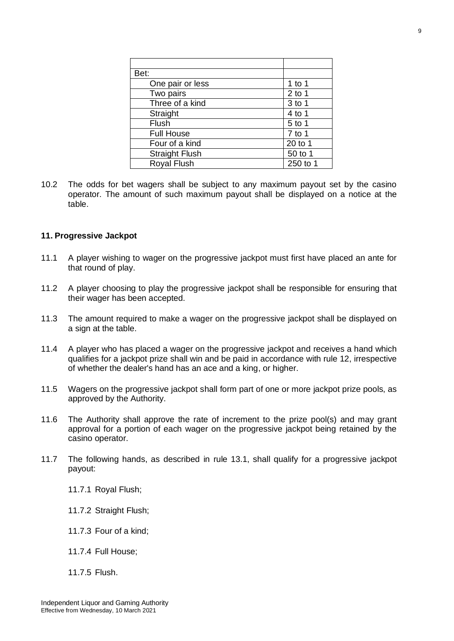| Bet:                  |          |  |
|-----------------------|----------|--|
| One pair or less      | 1 to 1   |  |
| Two pairs             | $2$ to 1 |  |
| Three of a kind       | 3 to 1   |  |
| Straight              | $4$ to 1 |  |
| Flush                 | 5 to 1   |  |
| <b>Full House</b>     | $7$ to 1 |  |
| Four of a kind        | 20 to 1  |  |
| <b>Straight Flush</b> | 50 to 1  |  |
| <b>Royal Flush</b>    | 250 to 1 |  |

10.2 The odds for bet wagers shall be subject to any maximum payout set by the casino operator. The amount of such maximum payout shall be displayed on a notice at the table.

## <span id="page-8-0"></span>**11. Progressive Jackpot**

- 11.1 A player wishing to wager on the progressive jackpot must first have placed an ante for that round of play.
- 11.2 A player choosing to play the progressive jackpot shall be responsible for ensuring that their wager has been accepted.
- 11.3 The amount required to make a wager on the progressive jackpot shall be displayed on a sign at the table.
- 11.4 A player who has placed a wager on the progressive jackpot and receives a hand which qualifies for a jackpot prize shall win and be paid in accordance with rule 12, irrespective of whether the dealer's hand has an ace and a king, or higher.
- 11.5 Wagers on the progressive jackpot shall form part of one or more jackpot prize pools, as approved by the Authority.
- 11.6 The Authority shall approve the rate of increment to the prize pool(s) and may grant approval for a portion of each wager on the progressive jackpot being retained by the casino operator.
- 11.7 The following hands, as described in rule 13.1, shall qualify for a progressive jackpot payout:
	- 11.7.1 Royal Flush;
	- 11.7.2 Straight Flush;
	- 11.7.3 Four of a kind;
	- 11.7.4 Full House;
	- 11.7.5 Flush.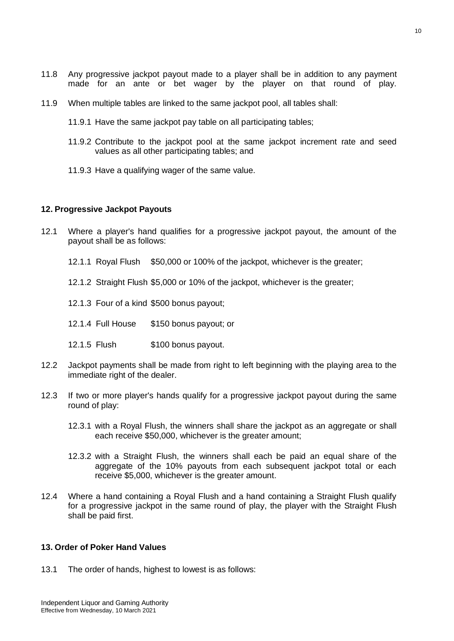- 11.8 Any progressive jackpot payout made to a player shall be in addition to any payment made for an ante or bet wager by the player on that round of play.
- 11.9 When multiple tables are linked to the same jackpot pool, all tables shall:
	- 11.9.1 Have the same jackpot pay table on all participating tables;
	- 11.9.2 Contribute to the jackpot pool at the same jackpot increment rate and seed values as all other participating tables; and
	- 11.9.3 Have a qualifying wager of the same value.

#### <span id="page-9-0"></span>**12. Progressive Jackpot Payouts**

- 12.1 Where a player's hand qualifies for a progressive jackpot payout, the amount of the payout shall be as follows:
	- 12.1.1 Royal Flush \$50,000 or 100% of the jackpot, whichever is the greater;
	- 12.1.2 Straight Flush \$5,000 or 10% of the jackpot, whichever is the greater;
	- 12.1.3 Four of a kind \$500 bonus payout;
	- 12.1.4 Full House \$150 bonus payout; or
	- 12.1.5 Flush \$100 bonus payout.
- 12.2 Jackpot payments shall be made from right to left beginning with the playing area to the immediate right of the dealer.
- 12.3 If two or more player's hands qualify for a progressive jackpot payout during the same round of play:
	- 12.3.1 with a Royal Flush, the winners shall share the jackpot as an aggregate or shall each receive \$50,000, whichever is the greater amount;
	- 12.3.2 with a Straight Flush, the winners shall each be paid an equal share of the aggregate of the 10% payouts from each subsequent jackpot total or each receive \$5,000, whichever is the greater amount.
- 12.4 Where a hand containing a Royal Flush and a hand containing a Straight Flush qualify for a progressive jackpot in the same round of play, the player with the Straight Flush shall be paid first.

## <span id="page-9-1"></span>**13. Order of Poker Hand Values**

13.1 The order of hands, highest to lowest is as follows: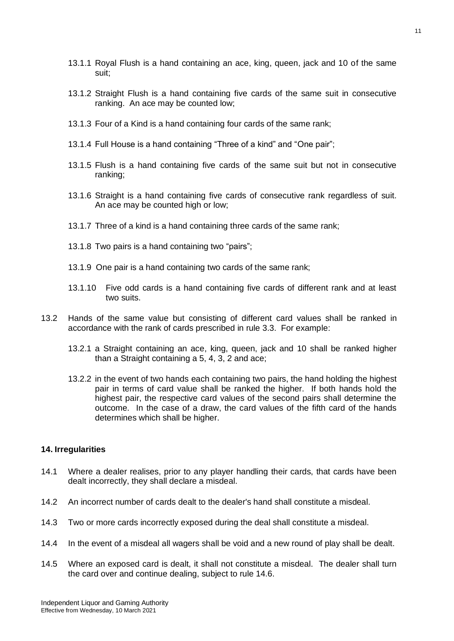- 13.1.1 Royal Flush is a hand containing an ace, king, queen, jack and 10 of the same suit;
- 13.1.2 Straight Flush is a hand containing five cards of the same suit in consecutive ranking. An ace may be counted low;
- 13.1.3 Four of a Kind is a hand containing four cards of the same rank;
- 13.1.4 Full House is a hand containing "Three of a kind" and "One pair";
- 13.1.5 Flush is a hand containing five cards of the same suit but not in consecutive ranking;
- 13.1.6 Straight is a hand containing five cards of consecutive rank regardless of suit. An ace may be counted high or low;
- 13.1.7 Three of a kind is a hand containing three cards of the same rank;
- 13.1.8 Two pairs is a hand containing two "pairs";
- 13.1.9 One pair is a hand containing two cards of the same rank;
- 13.1.10 Five odd cards is a hand containing five cards of different rank and at least two suits.
- 13.2 Hands of the same value but consisting of different card values shall be ranked in accordance with the rank of cards prescribed in rule 3.3. For example:
	- 13.2.1 a Straight containing an ace, king, queen, jack and 10 shall be ranked higher than a Straight containing a 5, 4, 3, 2 and ace;
	- 13.2.2 in the event of two hands each containing two pairs, the hand holding the highest pair in terms of card value shall be ranked the higher. If both hands hold the highest pair, the respective card values of the second pairs shall determine the outcome. In the case of a draw, the card values of the fifth card of the hands determines which shall be higher.

#### <span id="page-10-0"></span>**14. Irregularities**

- 14.1 Where a dealer realises, prior to any player handling their cards, that cards have been dealt incorrectly, they shall declare a misdeal.
- 14.2 An incorrect number of cards dealt to the dealer's hand shall constitute a misdeal.
- 14.3 Two or more cards incorrectly exposed during the deal shall constitute a misdeal.
- 14.4 In the event of a misdeal all wagers shall be void and a new round of play shall be dealt.
- 14.5 Where an exposed card is dealt, it shall not constitute a misdeal. The dealer shall turn the card over and continue dealing, subject to rule 14.6.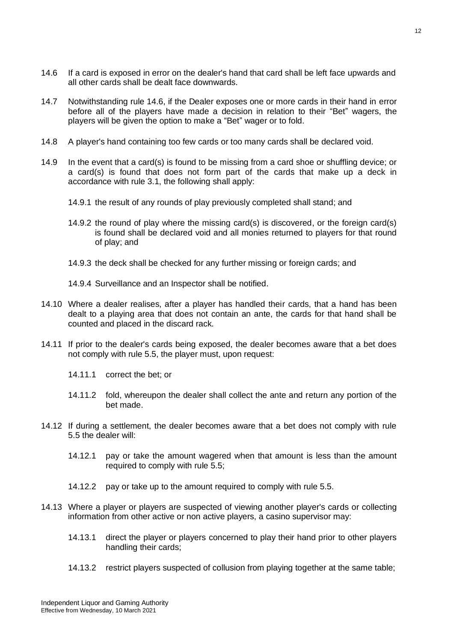- 14.6 If a card is exposed in error on the dealer's hand that card shall be left face upwards and all other cards shall be dealt face downwards.
- 14.7 Notwithstanding rule 14.6, if the Dealer exposes one or more cards in their hand in error before all of the players have made a decision in relation to their "Bet" wagers, the players will be given the option to make a "Bet" wager or to fold.
- 14.8 A player's hand containing too few cards or too many cards shall be declared void.
- 14.9 In the event that a card(s) is found to be missing from a card shoe or shuffling device; or a card(s) is found that does not form part of the cards that make up a deck in accordance with rule 3.1, the following shall apply:
	- 14.9.1 the result of any rounds of play previously completed shall stand; and
	- 14.9.2 the round of play where the missing card(s) is discovered, or the foreign card(s) is found shall be declared void and all monies returned to players for that round of play; and
	- 14.9.3 the deck shall be checked for any further missing or foreign cards; and
	- 14.9.4 Surveillance and an Inspector shall be notified.
- 14.10 Where a dealer realises, after a player has handled their cards, that a hand has been dealt to a playing area that does not contain an ante, the cards for that hand shall be counted and placed in the discard rack.
- 14.11 If prior to the dealer's cards being exposed, the dealer becomes aware that a bet does not comply with rule 5.5, the player must, upon request:
	- 14.11.1 correct the bet; or
	- 14.11.2 fold, whereupon the dealer shall collect the ante and return any portion of the bet made.
- 14.12 If during a settlement, the dealer becomes aware that a bet does not comply with rule 5.5 the dealer will:
	- 14.12.1 pay or take the amount wagered when that amount is less than the amount required to comply with rule 5.5;
	- 14.12.2 pay or take up to the amount required to comply with rule 5.5.
- 14.13 Where a player or players are suspected of viewing another player's cards or collecting information from other active or non active players, a casino supervisor may:
	- 14.13.1 direct the player or players concerned to play their hand prior to other players handling their cards;
	- 14.13.2 restrict players suspected of collusion from playing together at the same table;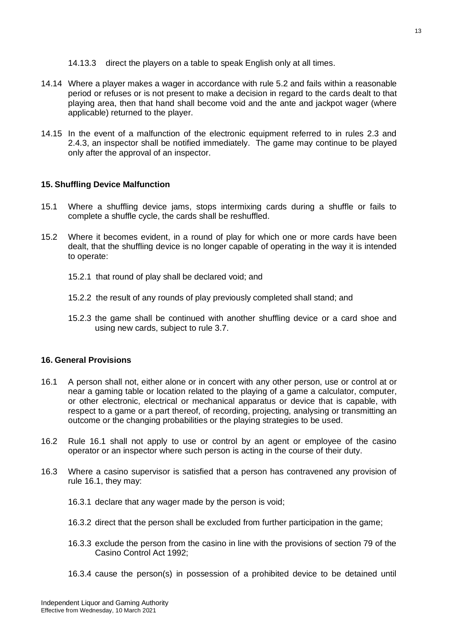- 14.13.3 direct the players on a table to speak English only at all times.
- 14.14 Where a player makes a wager in accordance with rule 5.2 and fails within a reasonable period or refuses or is not present to make a decision in regard to the cards dealt to that playing area, then that hand shall become void and the ante and jackpot wager (where applicable) returned to the player.
- 14.15 In the event of a malfunction of the electronic equipment referred to in rules 2.3 and 2.4.3, an inspector shall be notified immediately. The game may continue to be played only after the approval of an inspector.

## <span id="page-12-0"></span>**15. Shuffling Device Malfunction**

- 15.1 Where a shuffling device jams, stops intermixing cards during a shuffle or fails to complete a shuffle cycle, the cards shall be reshuffled.
- 15.2 Where it becomes evident, in a round of play for which one or more cards have been dealt, that the shuffling device is no longer capable of operating in the way it is intended to operate:
	- 15.2.1 that round of play shall be declared void; and
	- 15.2.2 the result of any rounds of play previously completed shall stand; and
	- 15.2.3 the game shall be continued with another shuffling device or a card shoe and using new cards, subject to rule 3.7.

## <span id="page-12-1"></span>**16. General Provisions**

- 16.1 A person shall not, either alone or in concert with any other person, use or control at or near a gaming table or location related to the playing of a game a calculator, computer, or other electronic, electrical or mechanical apparatus or device that is capable, with respect to a game or a part thereof, of recording, projecting, analysing or transmitting an outcome or the changing probabilities or the playing strategies to be used.
- 16.2 Rule 16.1 shall not apply to use or control by an agent or employee of the casino operator or an inspector where such person is acting in the course of their duty.
- 16.3 Where a casino supervisor is satisfied that a person has contravened any provision of rule 16.1, they may:
	- 16.3.1 declare that any wager made by the person is void;
	- 16.3.2 direct that the person shall be excluded from further participation in the game;
	- 16.3.3 exclude the person from the casino in line with the provisions of section 79 of the Casino Control Act 1992;
	- 16.3.4 cause the person(s) in possession of a prohibited device to be detained until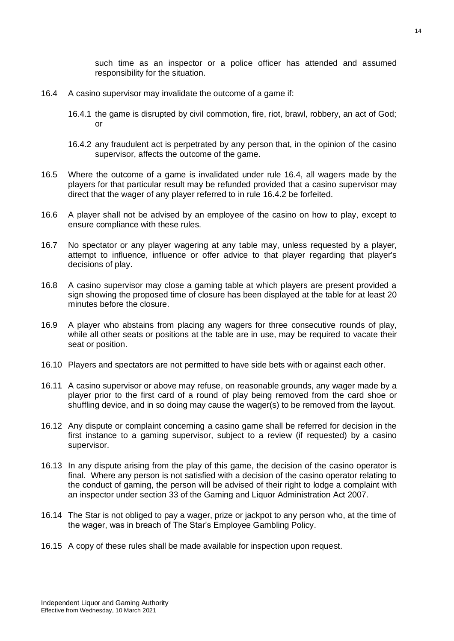such time as an inspector or a police officer has attended and assumed responsibility for the situation.

- 16.4 A casino supervisor may invalidate the outcome of a game if:
	- 16.4.1 the game is disrupted by civil commotion, fire, riot, brawl, robbery, an act of God; or
	- 16.4.2 any fraudulent act is perpetrated by any person that, in the opinion of the casino supervisor, affects the outcome of the game.
- 16.5 Where the outcome of a game is invalidated under rule 16.4, all wagers made by the players for that particular result may be refunded provided that a casino supervisor may direct that the wager of any player referred to in rule 16.4.2 be forfeited.
- 16.6 A player shall not be advised by an employee of the casino on how to play, except to ensure compliance with these rules.
- 16.7 No spectator or any player wagering at any table may, unless requested by a player, attempt to influence, influence or offer advice to that player regarding that player's decisions of play.
- 16.8 A casino supervisor may close a gaming table at which players are present provided a sign showing the proposed time of closure has been displayed at the table for at least 20 minutes before the closure.
- 16.9 A player who abstains from placing any wagers for three consecutive rounds of play, while all other seats or positions at the table are in use, may be required to vacate their seat or position.
- 16.10 Players and spectators are not permitted to have side bets with or against each other.
- 16.11 A casino supervisor or above may refuse, on reasonable grounds, any wager made by a player prior to the first card of a round of play being removed from the card shoe or shuffling device, and in so doing may cause the wager(s) to be removed from the layout.
- 16.12 Any dispute or complaint concerning a casino game shall be referred for decision in the first instance to a gaming supervisor, subject to a review (if requested) by a casino supervisor.
- 16.13 In any dispute arising from the play of this game, the decision of the casino operator is final. Where any person is not satisfied with a decision of the casino operator relating to the conduct of gaming, the person will be advised of their right to lodge a complaint with an inspector under section 33 of the Gaming and Liquor Administration Act 2007.
- 16.14 The Star is not obliged to pay a wager, prize or jackpot to any person who, at the time of the wager, was in breach of The Star's Employee Gambling Policy.
- 16.15 A copy of these rules shall be made available for inspection upon request.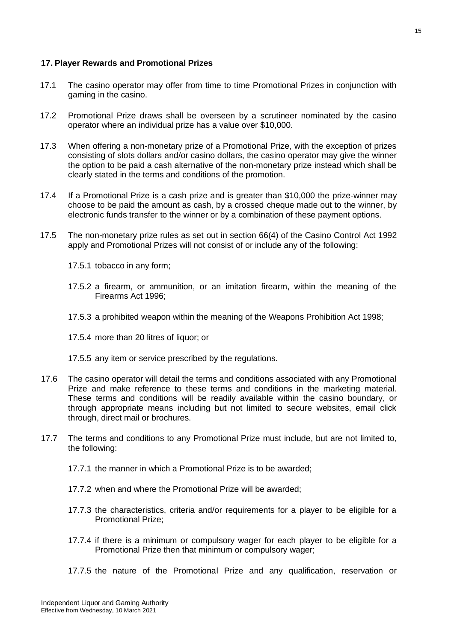## <span id="page-14-0"></span>**17. Player Rewards and Promotional Prizes**

- 17.1 The casino operator may offer from time to time Promotional Prizes in conjunction with gaming in the casino.
- 17.2 Promotional Prize draws shall be overseen by a scrutineer nominated by the casino operator where an individual prize has a value over \$10,000.
- 17.3 When offering a non-monetary prize of a Promotional Prize, with the exception of prizes consisting of slots dollars and/or casino dollars, the casino operator may give the winner the option to be paid a cash alternative of the non-monetary prize instead which shall be clearly stated in the terms and conditions of the promotion.
- 17.4 If a Promotional Prize is a cash prize and is greater than \$10,000 the prize-winner may choose to be paid the amount as cash, by a crossed cheque made out to the winner, by electronic funds transfer to the winner or by a combination of these payment options.
- 17.5 The non-monetary prize rules as set out in section 66(4) of the Casino Control Act 1992 apply and Promotional Prizes will not consist of or include any of the following:
	- 17.5.1 tobacco in any form;
	- 17.5.2 a firearm, or ammunition, or an imitation firearm, within the meaning of the Firearms Act 1996;
	- 17.5.3 a prohibited weapon within the meaning of the Weapons Prohibition Act 1998;
	- 17.5.4 more than 20 litres of liquor; or
	- 17.5.5 any item or service prescribed by the regulations.
- 17.6 The casino operator will detail the terms and conditions associated with any Promotional Prize and make reference to these terms and conditions in the marketing material. These terms and conditions will be readily available within the casino boundary, or through appropriate means including but not limited to secure websites, email click through, direct mail or brochures.
- 17.7 The terms and conditions to any Promotional Prize must include, but are not limited to, the following:
	- 17.7.1 the manner in which a Promotional Prize is to be awarded;
	- 17.7.2 when and where the Promotional Prize will be awarded;
	- 17.7.3 the characteristics, criteria and/or requirements for a player to be eligible for a Promotional Prize;
	- 17.7.4 if there is a minimum or compulsory wager for each player to be eligible for a Promotional Prize then that minimum or compulsory wager;
	- 17.7.5 the nature of the Promotional Prize and any qualification, reservation or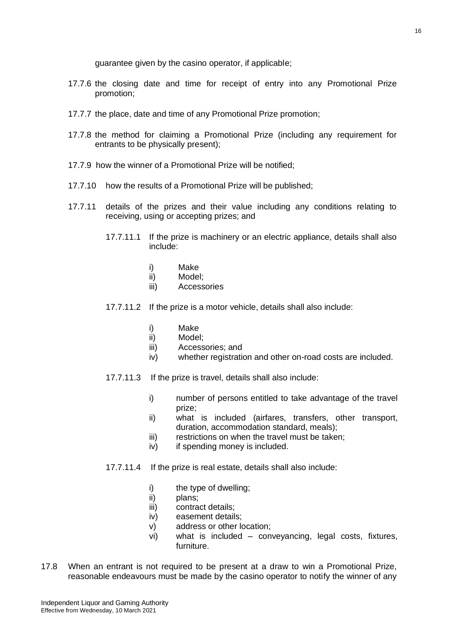guarantee given by the casino operator, if applicable;

- 17.7.6 the closing date and time for receipt of entry into any Promotional Prize promotion;
- 17.7.7 the place, date and time of any Promotional Prize promotion;
- 17.7.8 the method for claiming a Promotional Prize (including any requirement for entrants to be physically present);
- 17.7.9 how the winner of a Promotional Prize will be notified;
- 17.7.10 how the results of a Promotional Prize will be published;
- 17.7.11 details of the prizes and their value including any conditions relating to receiving, using or accepting prizes; and
	- 17.7.11.1 If the prize is machinery or an electric appliance, details shall also include:
		- i) Make
		- ii) Model;
		- iii) Accessories
	- 17.7.11.2 If the prize is a motor vehicle, details shall also include:
		- i) Make
		- ii) Model;
		- iii) Accessories; and
		- iv) whether registration and other on-road costs are included.
	- 17.7.11.3 If the prize is travel, details shall also include:
		- i) number of persons entitled to take advantage of the travel prize;
		- ii) what is included (airfares, transfers, other transport, duration, accommodation standard, meals);
		- iii) restrictions on when the travel must be taken;
		- iv) if spending money is included.
	- 17.7.11.4 If the prize is real estate, details shall also include:
		- i) the type of dwelling;
		- ii) plans;
		- iii) contract details;
		- iv) easement details;
		- v) address or other location;
		- vi) what is included conveyancing, legal costs, fixtures, furniture.
- 17.8 When an entrant is not required to be present at a draw to win a Promotional Prize, reasonable endeavours must be made by the casino operator to notify the winner of any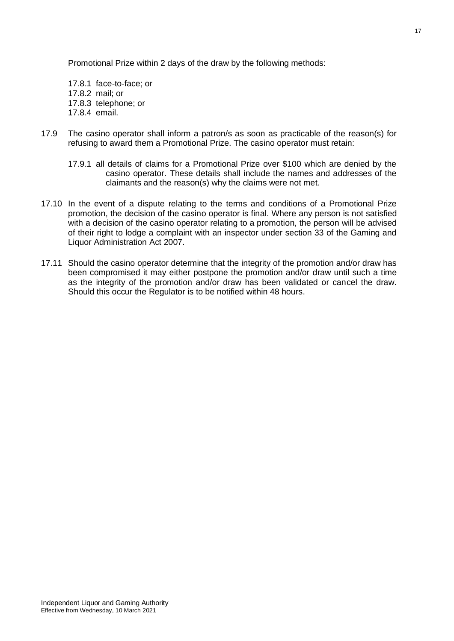Promotional Prize within 2 days of the draw by the following methods:

17.8.1 face-to-face; or 17.8.2 mail; or 17.8.3 telephone; or 17.8.4 email.

- 17.9 The casino operator shall inform a patron/s as soon as practicable of the reason(s) for refusing to award them a Promotional Prize. The casino operator must retain:
	- 17.9.1 all details of claims for a Promotional Prize over \$100 which are denied by the casino operator. These details shall include the names and addresses of the claimants and the reason(s) why the claims were not met.
- 17.10 In the event of a dispute relating to the terms and conditions of a Promotional Prize promotion, the decision of the casino operator is final. Where any person is not satisfied with a decision of the casino operator relating to a promotion, the person will be advised of their right to lodge a complaint with an inspector under section 33 of the Gaming and Liquor Administration Act 2007.
- 17.11 Should the casino operator determine that the integrity of the promotion and/or draw has been compromised it may either postpone the promotion and/or draw until such a time as the integrity of the promotion and/or draw has been validated or cancel the draw. Should this occur the Regulator is to be notified within 48 hours.